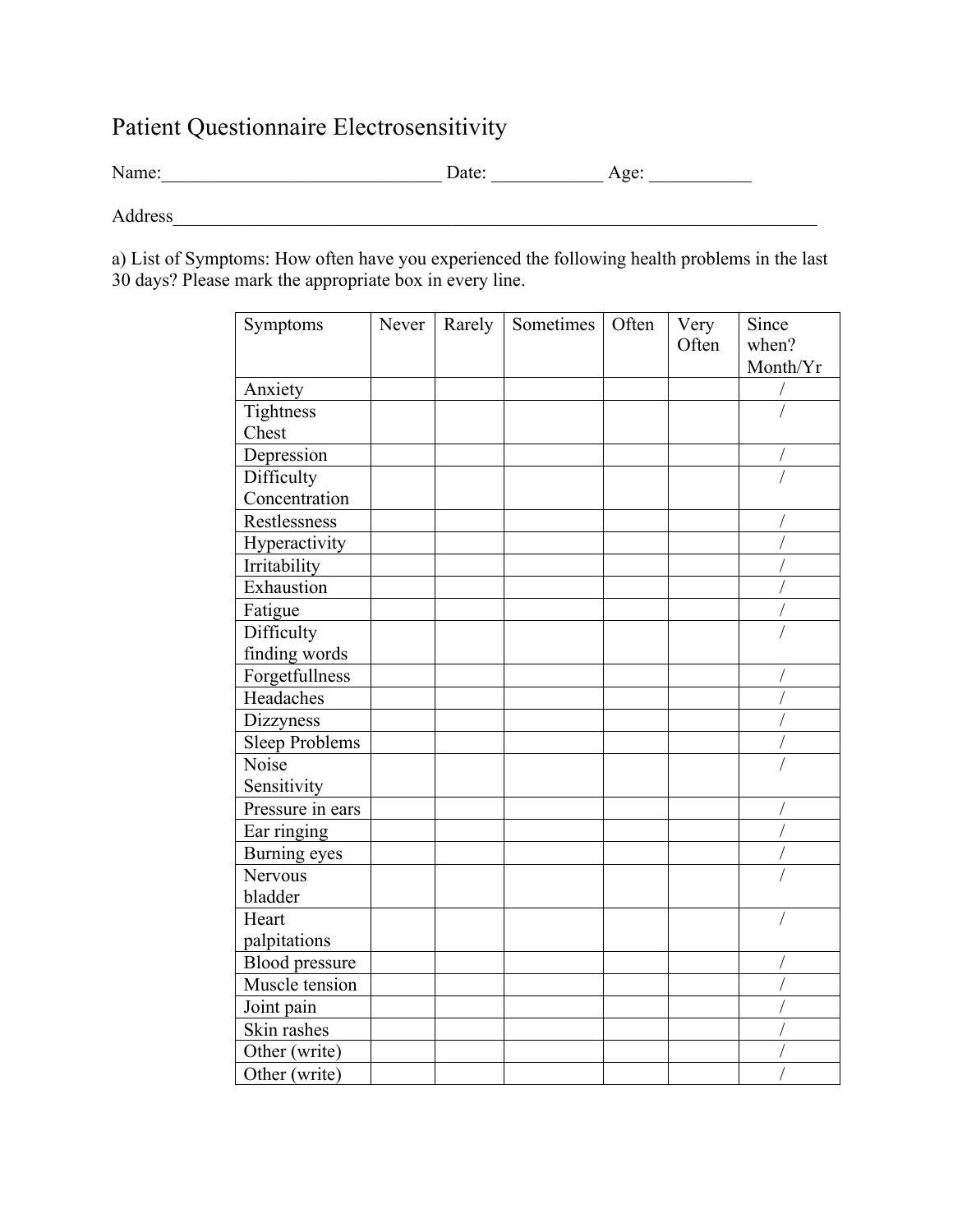## Patient Questionnaire Electrosensitivity

Name: Date: Age:

Address\_\_\_\_\_\_\_\_\_\_\_\_\_\_\_\_\_\_\_\_\_\_\_\_\_\_\_\_\_\_\_\_\_\_\_\_\_\_\_\_\_\_\_\_\_\_\_\_\_\_\_\_\_\_\_\_\_\_\_\_\_\_\_\_\_\_\_\_\_

a) List of Symptoms: How often have you experienced the following health problems in the last 30 days? Please mark the appropriate box in every line.

| Symptoms              | Never | Rarely | Sometimes | Often | Very<br>Often | Since<br>when?<br>Month/Yr |
|-----------------------|-------|--------|-----------|-------|---------------|----------------------------|
| Anxiety               |       |        |           |       |               |                            |
| Tightness             |       |        |           |       |               |                            |
| Chest                 |       |        |           |       |               |                            |
| Depression            |       |        |           |       |               |                            |
| Difficulty            |       |        |           |       |               |                            |
| Concentration         |       |        |           |       |               |                            |
| Restlessness          |       |        |           |       |               |                            |
| Hyperactivity         |       |        |           |       |               |                            |
| Irritability          |       |        |           |       |               |                            |
| Exhaustion            |       |        |           |       |               |                            |
| Fatigue               |       |        |           |       |               |                            |
| Difficulty            |       |        |           |       |               |                            |
| finding words         |       |        |           |       |               |                            |
| Forgetfullness        |       |        |           |       |               |                            |
| Headaches             |       |        |           |       |               |                            |
| Dizzyness             |       |        |           |       |               |                            |
| <b>Sleep Problems</b> |       |        |           |       |               |                            |
| Noise                 |       |        |           |       |               |                            |
| Sensitivity           |       |        |           |       |               |                            |
| Pressure in ears      |       |        |           |       |               |                            |
| Ear ringing           |       |        |           |       |               |                            |
| Burning eyes          |       |        |           |       |               |                            |
| Nervous               |       |        |           |       |               |                            |
| bladder               |       |        |           |       |               |                            |
| Heart                 |       |        |           |       |               |                            |
| palpitations          |       |        |           |       |               |                            |
| <b>Blood</b> pressure |       |        |           |       |               |                            |
| Muscle tension        |       |        |           |       |               |                            |
| Joint pain            |       |        |           |       |               |                            |
| Skin rashes           |       |        |           |       |               |                            |
| Other (write)         |       |        |           |       |               |                            |
| Other (write)         |       |        |           |       |               |                            |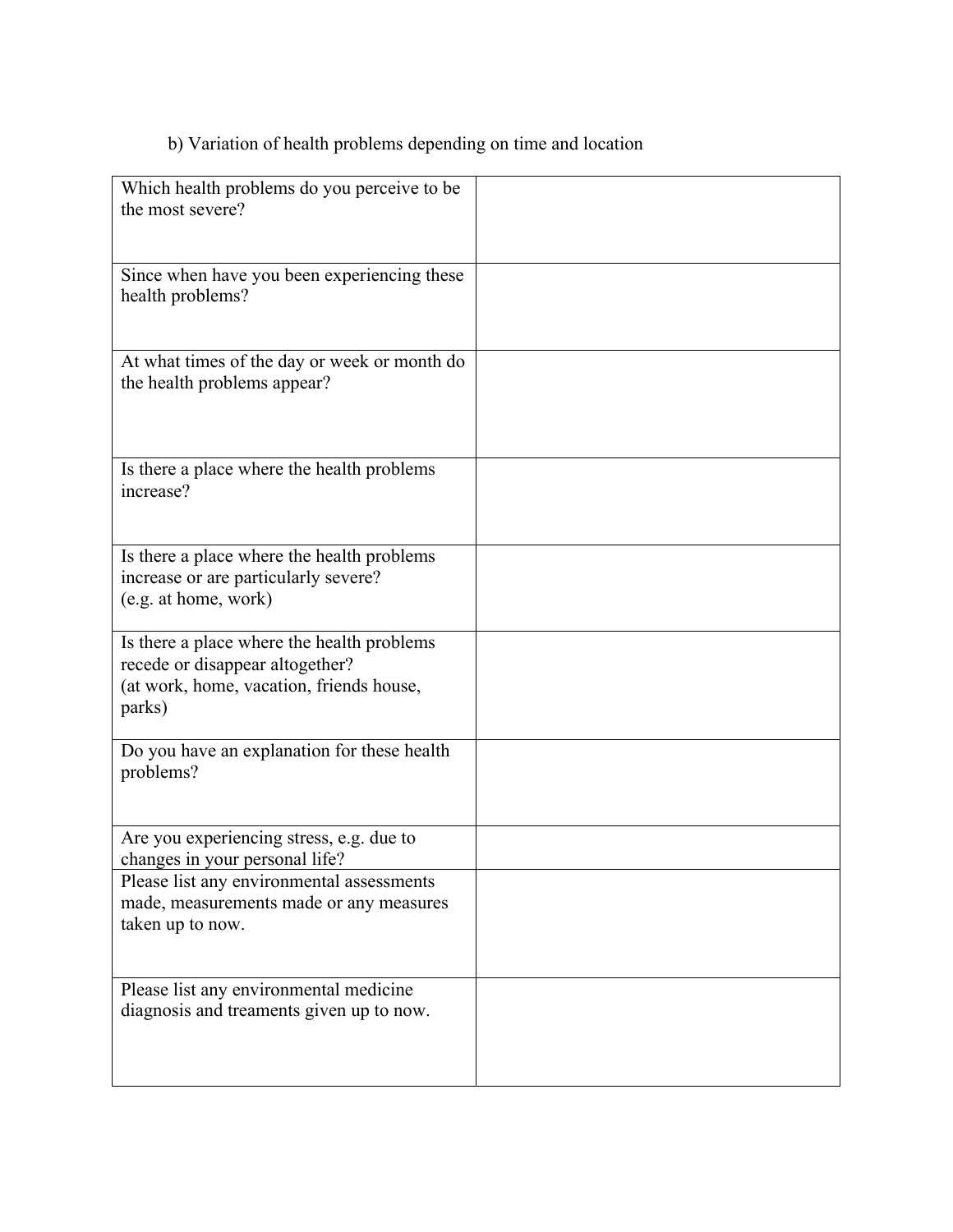## b) Variation of health problems depending on time and location

| Which health problems do you perceive to be<br>the most severe?                                                                     |  |
|-------------------------------------------------------------------------------------------------------------------------------------|--|
|                                                                                                                                     |  |
| Since when have you been experiencing these<br>health problems?                                                                     |  |
| At what times of the day or week or month do<br>the health problems appear?                                                         |  |
| Is there a place where the health problems<br>increase?                                                                             |  |
| Is there a place where the health problems<br>increase or are particularly severe?<br>(e.g. at home, work)                          |  |
| Is there a place where the health problems<br>recede or disappear altogether?<br>(at work, home, vacation, friends house,<br>parks) |  |
| Do you have an explanation for these health<br>problems?                                                                            |  |
| Are you experiencing stress, e.g. due to<br>changes in your personal life?                                                          |  |
| Please list any environmental assessments<br>made, measurements made or any measures<br>taken up to now.                            |  |
| Please list any environmental medicine<br>diagnosis and treaments given up to now.                                                  |  |